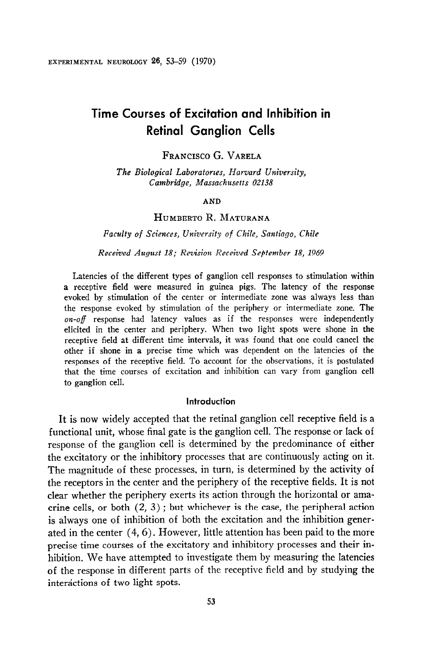# Time Courses of Excitation and Inhibition in Retinal Ganglion Cells

# FRANCISCO G.VARELA

The Biological Laboratories, Harvard University, Cambridge, Massachusetts 02138

### AND

# HUMBERTO R. MATURANA

Faculty of Sciences, University of Chile, Santiago, Chile

Received August 18; Revision Received September 18, 1969

Latencies of the different types of ganglion cell responses to stimulation within a receptive field were measured in guinea pigs. The latency of the response evoked by stimulation of the center or intermediate zone was always less than the response evoked by stimulation of the periphery or intermediate zone. The  $on-off$  response had latency values as if the responses were independently elicited in the center and periphery. When two light spots were shone in the receptive field at different time intervals, it was found that one could cancel the other if shone in a precise time which was dependent on the latencies of the responses of the receptive field. To account for the observations, it is postulated that the time courses of excitation and inhibition can vary from ganglion cell to ganglion cell.

#### Introduction

It is now widely accepted that the retinal ganglion cell receptive field is a functional unit, whose final gate is the ganglion cell. The response or lack of response of the ganglion cell is determined by the predominance of either the excitatory or the inhibitory processes that are continuously acting on it. The magnitude of these processes, in turn, is determined by the activity of the receptors in the center and the periphery of the receptive fields. It is not clear whether the periphery exerts its action through the horizontal or amacrine cells, or both  $(2, 3)$ ; but whichever is the case, the peripheral action is always one of inhibition of both the excitation and the inhibition generated in the center (4,6). However, little attention has been paid to the more precise time courses of the excitatory and inhibitory processes and their inhibition. We have attempted to investigate them by measuring the latencies of the response in different parts of the receptive field and by studying the interactions of two light spots.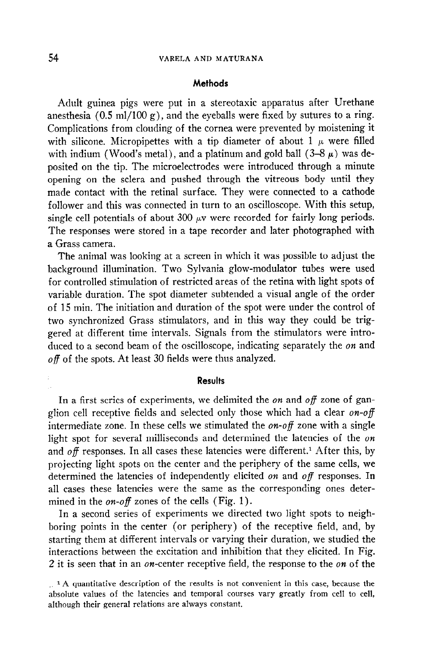## Methods

Adult guinea pigs were put in a stereotaxic apparatus after Urethane anesthesia  $(0.5 \text{ ml}/100 \text{ g})$ , and the eyeballs were fixed by sutures to a ring. Complications from clouding of the cornea were prevented by moistening it with silicone. Micropipettes with a tip diameter of about 1  $\mu$  were filled with indium (Wood's metal), and a platinum and gold ball  $(3-8 \mu)$  was deposited on the tip. The microelectrodes were introduced through a minute opening on the sclera and pushed through the vitreous body until they made contact with the retinal surface. They were connected to a cathode follower and this was connected in turn to an oscilloscope. With this setup, single cell potentials of about 300  $\mu$ v were recorded for fairly long periods. The responses were stored in a tape recorder and later photographed with a Grass camera.

The animal was looking at a screen in which it was possible to adjust the background illumination. Two Sylvania glow-modulator tubes were used for controlled stimulation of restricted areas of the retina with light spots of variable duration. The spot diameter subtended a visual angle of the order of 15 min. The initiation and duration of the spot were under the control of two synchronized Grass stimulators, and in this way they could be triggered at different time intervals. Signals from the stimulators were introduced to a second beam of the oscilloscope, indicating separately the on and  $off$  of the spots. At least 30 fields were thus analyzed.

#### **Results**

In a first series of experiments, we delimited the *on* and *off* zone of ganglion cell receptive fields and selected only those which had a clear  $on$ -off intermediate zone. In these cells we stimulated the  $\omega$ -off zone with a single light spot for several milliseconds and determined the latencies of the on and  $\partial f$  responses. In all cases these latencies were different.<sup>1</sup> After this, by projecting light spots on the center and the periphery of the same cells, we determined the latencies of independently elicited on and off responses. In all cases these latencies were the same as the corresponding ones determined in the *on-off* zones of the cells (Fig. 1).

In a second series of experiments we directed two light spots to neighboring points in the center (or periphery) of the receptive field, and, by starting them at different intervals or varying their duration, we studied the interactions between the excitation and inhibition that they elicited. In Fig. 2 it is seen that in an on-center receptive field, the response to the on of the

 $\therefore$   $\alpha$  quantitative description of the results is not convenient in this case, occause the absolute values of the latencies and temporal courses vary greatly from cell to cell, although their general relations are always constant.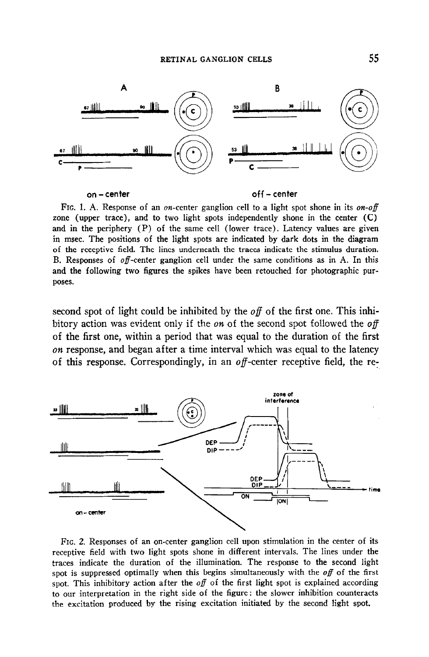

on -center off - center

FIG. 1. A. Response of an on-center ganglion cell to a light spot shone in its on-off zone (upper trace), and to two light spots independently shone in the center (C) and in the periphery (P) of the same cell (lower trace). Latency values are given in msec. The positions of the light spots are indicated by dark dots in the diagram of the receptive field. The lines underneath the traces indicate the stimulus duration. B. Responses of off-center ganglion cell under the same conditions as in A. In this and the following two figures the spikes have been retouched for photographic purposes.

second spot of light could be inhibited by the  $\delta f$  of the first one. This inhibitory action was evident only if the  $\omega$ n of the second spot followed the  $\omega$ ff of the first one, within a period that was equal to the duration of the first  $\omega$  response, and began after a time interval which was equal to the latency of this response. Correspondingly, in an  $of$ -center receptive field, the re-



FIG. 2. Responses of an on-center ganglion cell upon stimulation in the center of its receptive field with two light spots shone in different intervals. The lines under the traces indicate the duration of the illumination. The response to the second light spot is suppressed optimally when this begins simultaneously with the  $\overline{of}$  of the first spot. This inhibitory action after the *off* of the first light spot is explained according to our interpretation in the right side of the figure: the slower inhibition counteracts the excitation produced by the rising excitation initiated by the second light spot.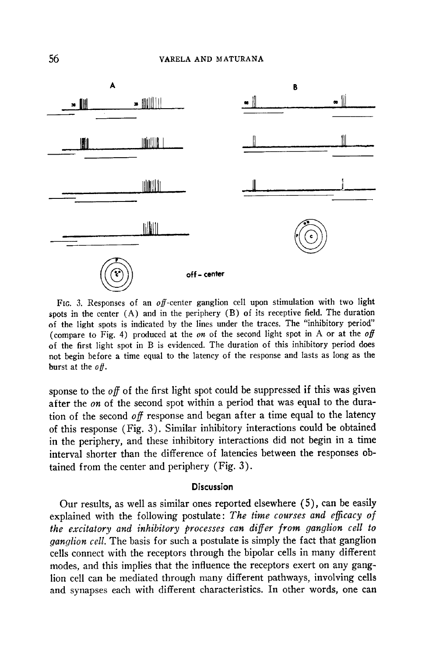

FIG. 3. Responses of an  $off$ -center ganglion cell upon stimulation with two light spots in the center (A) and in the periphery (B) of its receptive field. The duration of the light spots is indicated by the lines under the traces. The "inhibitory period" (compare to Fig. 4) produced at the *on* of the second light spot in A or at the *off* of the first light spot in B is evidenced. The duration of this inhibitory period does not begin before a time equal to the latency of the response and lasts as long as the burst at the  $of.$ 

sponse to the off of the first light spot could be suppressed if this was given after the *on* of the second spot within a period that was equal to the duration of the second off response and began after a time equal to the latency of this response (Fig. 3). Similar inhibitory interactions could be obtained in the periphery, and these inhibitory interactions did not begin in a time interval shorter than the difference of latencies between the responses obtained from the center and periphery (Fig. 3).

# **Discussion**

Our results, as well as similar ones reported elsewhere (5), can be easily explained with the following postulate: The time courses and efficacy of the excitatory and inhibitory processes can differ from ganglion cell to *ganglion cell.* The basis for such a postulate is simply the fact that ganglion cells connect with the receptors through the bipolar cells in many different modes, and this implies that the influence the receptors exert on any ganglion cell can be mediated through many different pathways, involving cells non cen can be incurated through many unclear pathways, myorving cens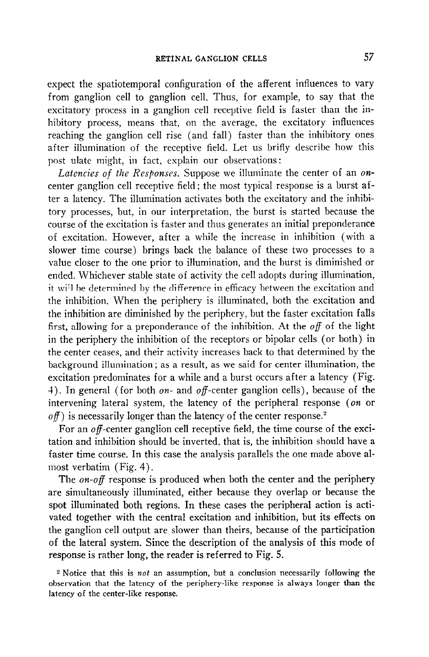expect the spatiotemporal configuration of the afferent influences to vary from ganglion cell to ganglion cell. Thus, for example, to say that the excitatory process in a ganglion cell receptive field is faster than the inhibitory process, means that, on the average, the excitatory influences reaching the ganglion cell rise (and fall) faster than the inhibitory ones after illumination of the receptive field. Let us brifly describe how this post ulate might, in fact, explain our observations:

Latencies of the Responses. Suppose we illuminate the center of an oncenter ganglion cell receptive field; the most typical response is a burst after a latency. The illumination activates both the excitatory and the inhibitory processes, but, in our interpretation, the burst is started because the course of the excitation is faster and thus generates an initial preponderance of excitation. However, after a while the increase in inhibition (with a slower time course) brings back the balance of these two processes to a value closer to the one prior to illumination, and the burst is diminished or ended. Whichever stable state of activity the cell adopts during illumination, it wi'l be determined by the difference in efficacy between the excitation and the inhibition. When the periphery is illuminated, both the excitation and the inhibition are diminished by the periphery, but the faster excitation falls first, allowing for a preponderance of the inhibition. At the  $of$  of the light in the periphery the inhibition of the receptors or bipolar cells (or both) in the center ceases, and their activity increases back to that determined by the background illumination; as a result, as we said for center illumination, the excitation predominates for a while and a burst occurs after a latency (Fig. 4). In general (for both  $\omega$ n- and  $\omega$ ff-center ganglion cells), because of the intervening lateral system, the latency of the peripheral response (on or  $of$ ) is necessarily longer than the latency of the center response.<sup>2</sup>

For an  $\theta$  -center ganglion cell receptive field, the time course of the excitation and inhibition should be inverted, that is, the inhibition should have a faster time course. In this case the analysis parallels the one made above almost verbatim (Fig. 4).

The *on-off* response is produced when both the center and the periphery are simultaneously illuminated, either because they overlap or because the spot illuminated both regions. In these cases the peripheral action is activated together with the central excitation and inhibition, but its effects on the ganglion cell output are slower than theirs, because of the participation of the lateral system. Since the description of the analysis of this mode of response is rather long, the reader is referred to Fig. 5.

<sup>2</sup> Notice that this is not an assumption, but a conclusion necessarily following the rotice that this is not an assumption, but a concrusion necessarily ronowing the observation that the latency of the periphery-like response is always longer than the latency of the center-like response.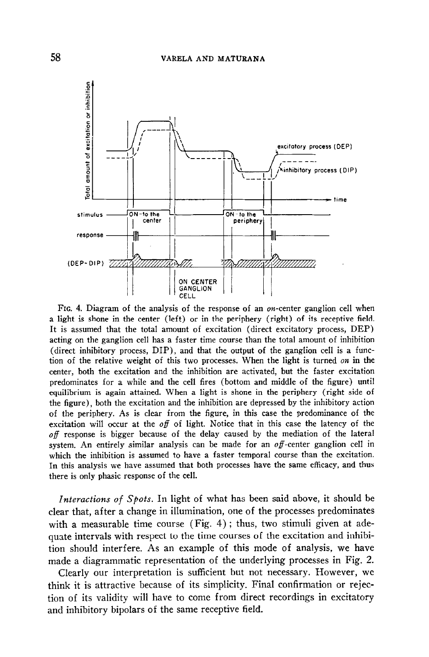

FIG. 4. Diagram of the analysis of the response of an on-center ganglion cell when a light is shone in the center (left) or in the periphery (right) of its receptive field. It is assumed that the total amount of excitation (direct excitatory process, DEP) acting on the ganglion cell has a faster time course than the total amount of inhibition (direct inhibitory process, DIP), and that the output of the ganglion cell is a function of the relative weight of this two processes. When the light is turned on in the center, both the excitation and the inhibition are activated, but the faster excitation predominates for a while and the cell fires (bottom and middle of the figure) until equilibrium is again attained. When a light is shone in the periphery (right side of the figure), both the excitation and the inhibition are depressed by the inhibitory action of the periphery. As is clear from the figure, in this case the predominance of the excitation will occur at the  $of$  of light. Notice that in this case the latency of the  $of$  response is bigger because of the delay caused by the mediation of the lateral system. An entirely similar analysis can be made for an  $of$ -center ganglion cell in which the inhibition is assumed to have a faster temporal course than the excitation. In this analysis we have assumed that both processes have the same efficacy, and thus there is only phasic response of the cell.

Interactions of Spots. In light of what has been said above, it should be clear that, after a change in illumination, one of the processes predominates with a measurable time course (Fig. 4) ; thus, two stimuli given at adequate intervals with respect to the time courses of the excitation and inhibition should interfere. As an example of this mode of analysis, we have made a diagrammatic representation of the underlying processes in Fig. 2.

Clearly our interpretation is sufficient but not necessary. However, we think it is attractive because of its simplicity. Final confirmation or rejection of its validity will have to come from direct recordings in excitatory and inhibitory bipolars of the same receptive field.